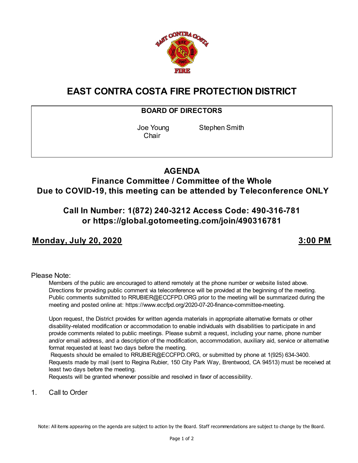

# **EAST CONTRA COSTA FIRE PROTECTION DISTRICT**

### **BOARD OF DIRECTORS**

**Chair** 

Joe Young Stephen Smith

### **AGENDA Finance Committee / Committee of the Whole**

# **Due to COVID-19, this meeting can be attended by Teleconference ONLY**

## **Call In Number: 1(872) 240-3212 Access Code: 490-316-781 or https://global.gotomeeting.com/join/490316781**

## **Monday, July 20, 2020 3:00 PM**

### Please Note:

Members of the public are encouraged to attend remotely at the phone number or website listed above. Directions for providing public comment via teleconference will be provided at the beginning of the meeting. Public comments submitted to RRUBIER@ECCFPD.ORG prior to the meeting will be summarized during the meeting and posted online at: https://www.eccfpd.org/2020-07-20-finance-committee-meeting.

Upon request, the District provides for written agenda materials in appropriate alternative formats or other disability-related modification or accommodation to enable individuals with disabilities to participate in and provide comments related to public meetings. Please submit a request, including your name, phone number and/or email address, and a description of the modification, accommodation, auxiliary aid, service or alternative format requested at least two days before the meeting.

 Requests should be emailed to RRUBIER@ECCFPD.ORG, or submitted by phone at 1(925) 634-3400. Requests made by mail (sent to Regina Rubier, 150 City Park Way, Brentwood, CA 94513) must be received at least two days before the meeting.

Requests will be granted whenever possible and resolved in favor of accessibility.

1. Call to Order

Note: All items appearing on the agenda are subject to action by the Board. Staff recommendations are subject to change by the Board.